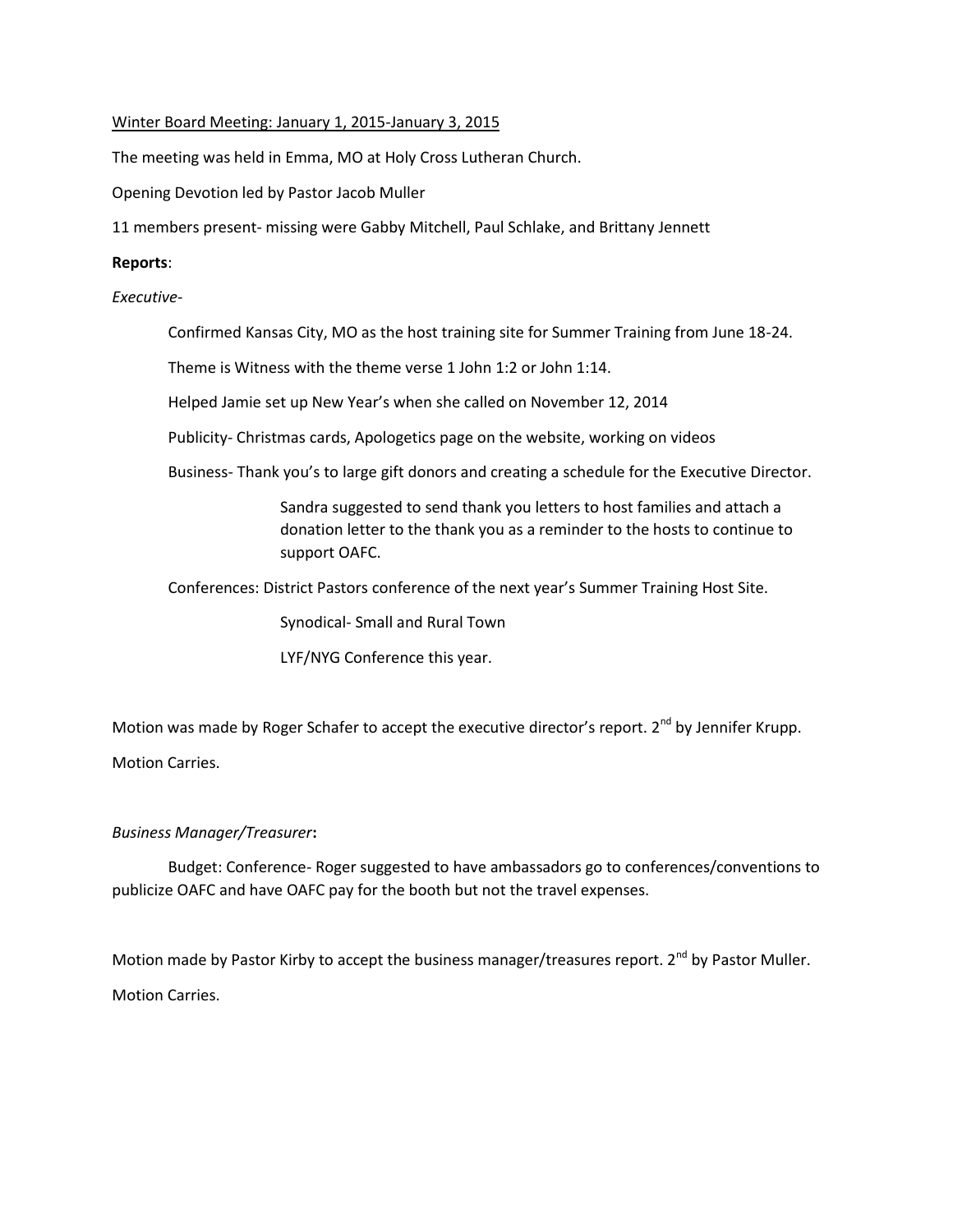## Winter Board Meeting: January 1, 2015-January 3, 2015

The meeting was held in Emma, MO at Holy Cross Lutheran Church.

Opening Devotion led by Pastor Jacob Muller

11 members present- missing were Gabby Mitchell, Paul Schlake, and Brittany Jennett

## **Reports**:

*Executive*-

Confirmed Kansas City, MO as the host training site for Summer Training from June 18-24.

Theme is Witness with the theme verse 1 John 1:2 or John 1:14.

Helped Jamie set up New Year's when she called on November 12, 2014

Publicity- Christmas cards, Apologetics page on the website, working on videos

Business- Thank you's to large gift donors and creating a schedule for the Executive Director.

Sandra suggested to send thank you letters to host families and attach a donation letter to the thank you as a reminder to the hosts to continue to support OAFC.

Conferences: District Pastors conference of the next year's Summer Training Host Site.

Synodical- Small and Rural Town

LYF/NYG Conference this year.

Motion was made by Roger Schafer to accept the executive director's report. 2<sup>nd</sup> by Jennifer Krupp. Motion Carries.

# *Business Manager/Treasurer***:**

Budget: Conference- Roger suggested to have ambassadors go to conferences/conventions to publicize OAFC and have OAFC pay for the booth but not the travel expenses.

Motion made by Pastor Kirby to accept the business manager/treasures report.  $2^{nd}$  by Pastor Muller. Motion Carries.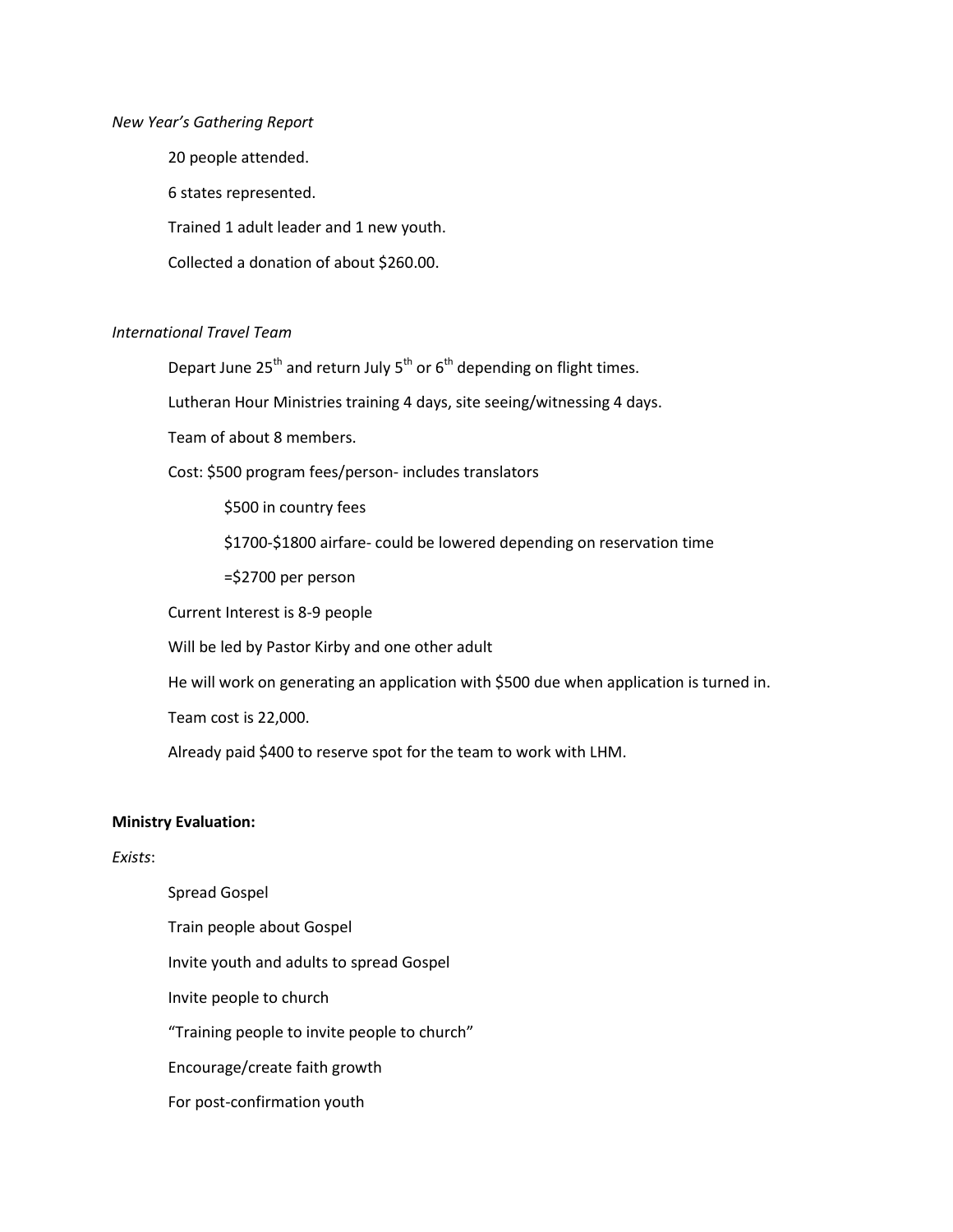#### *New Year's Gathering Report*

20 people attended. 6 states represented. Trained 1 adult leader and 1 new youth. Collected a donation of about \$260.00.

# *International Travel Team*

Depart June  $25^{th}$  and return July  $5^{th}$  or  $6^{th}$  depending on flight times.

Lutheran Hour Ministries training 4 days, site seeing/witnessing 4 days.

Team of about 8 members.

Cost: \$500 program fees/person- includes translators

\$500 in country fees

\$1700-\$1800 airfare- could be lowered depending on reservation time

=\$2700 per person

Current Interest is 8-9 people

Will be led by Pastor Kirby and one other adult

He will work on generating an application with \$500 due when application is turned in.

Team cost is 22,000.

Already paid \$400 to reserve spot for the team to work with LHM.

### **Ministry Evaluation:**

### *Exists*:

Spread Gospel Train people about Gospel Invite youth and adults to spread Gospel Invite people to church "Training people to invite people to church" Encourage/create faith growth For post-confirmation youth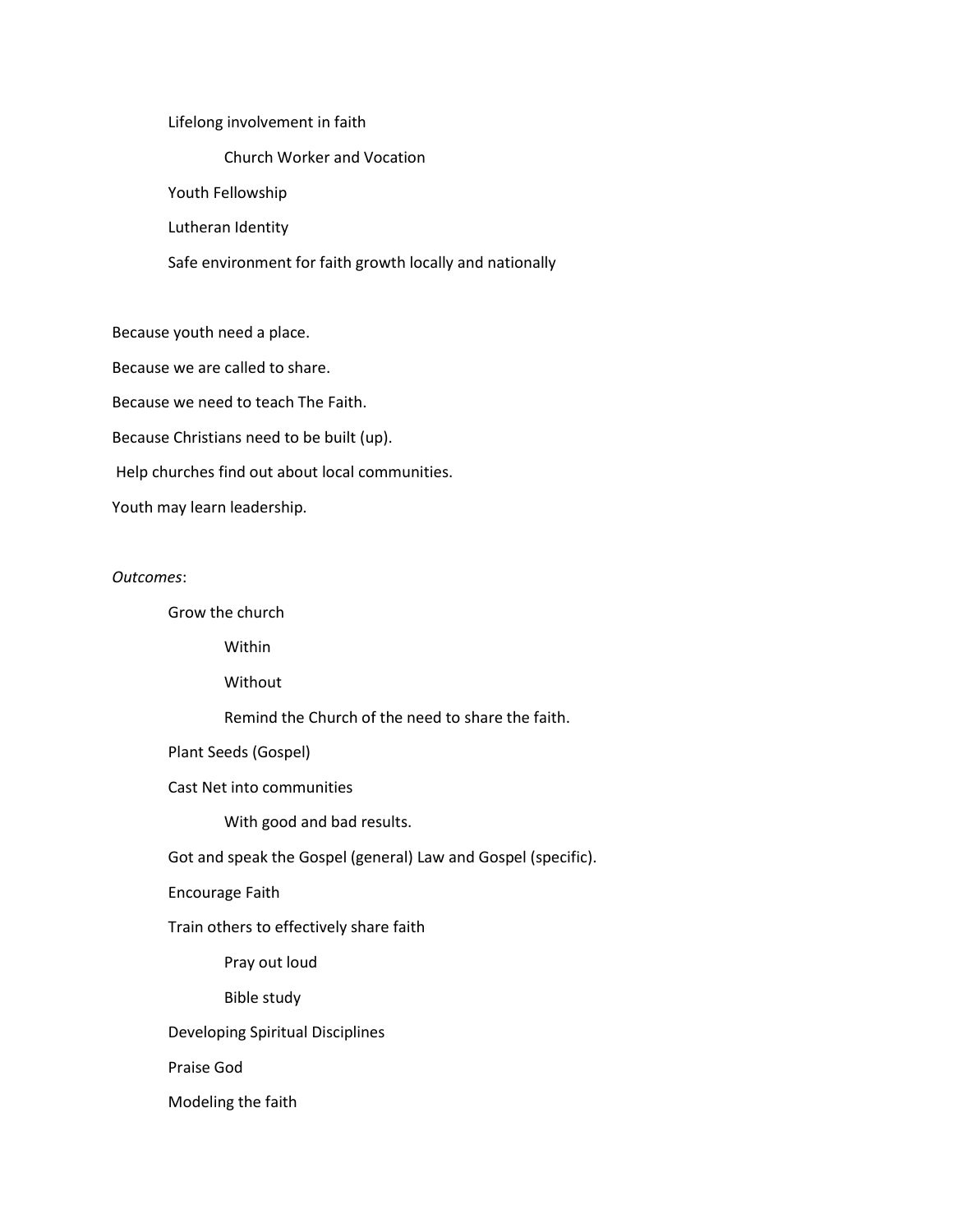#### Lifelong involvement in faith

Church Worker and Vocation

Youth Fellowship

Lutheran Identity

Safe environment for faith growth locally and nationally

Because youth need a place.

Because we are called to share.

Because we need to teach The Faith.

Because Christians need to be built (up).

Help churches find out about local communities.

Youth may learn leadership.

#### *Outcomes*:

Grow the church

Within

Without

Remind the Church of the need to share the faith.

Plant Seeds (Gospel)

Cast Net into communities

With good and bad results.

Got and speak the Gospel (general) Law and Gospel (specific).

Encourage Faith

Train others to effectively share faith

Pray out loud

Bible study

Developing Spiritual Disciplines

Praise God

Modeling the faith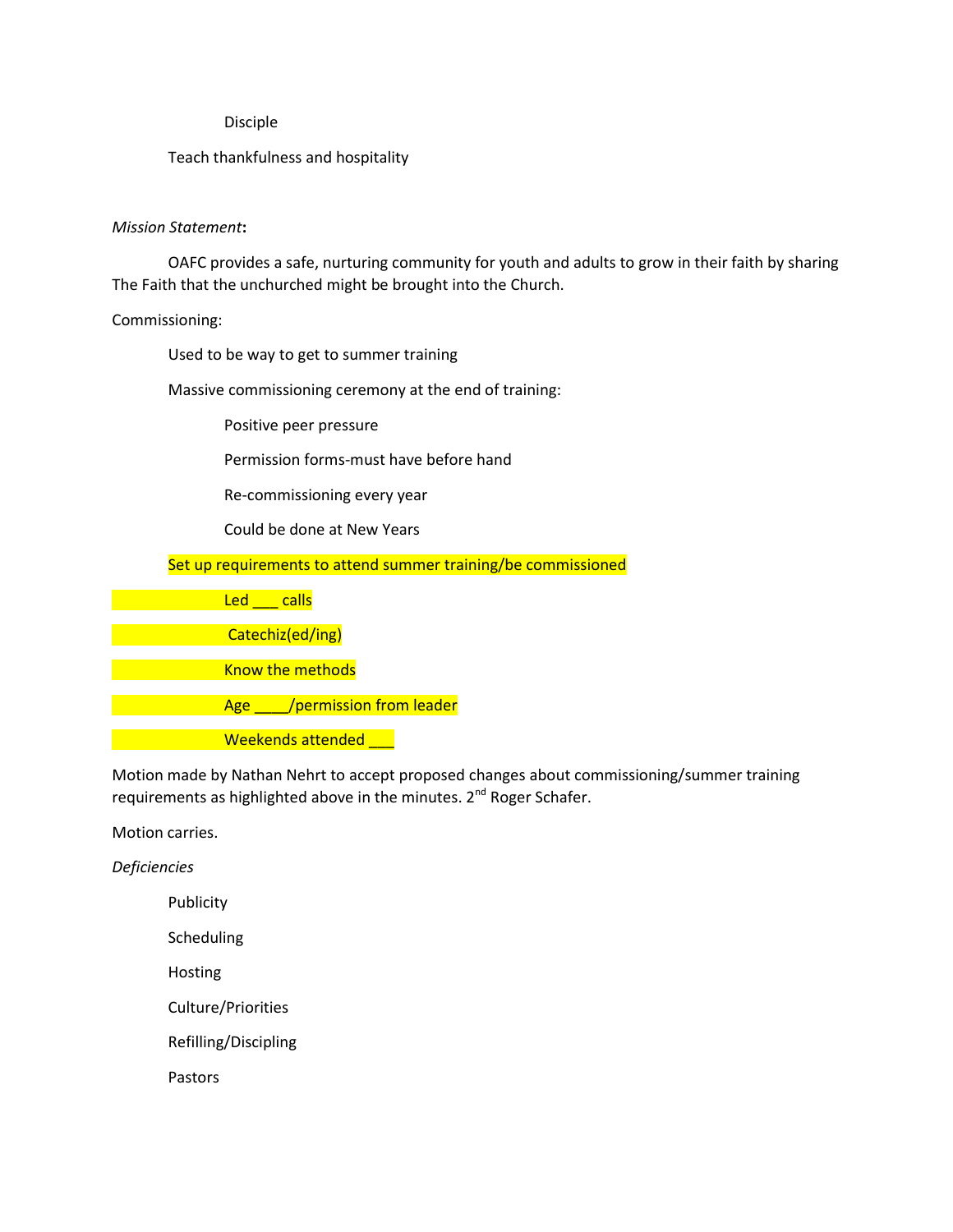### Disciple

## Teach thankfulness and hospitality

## *Mission Statement***:**

OAFC provides a safe, nurturing community for youth and adults to grow in their faith by sharing The Faith that the unchurched might be brought into the Church.

## Commissioning:

Used to be way to get to summer training

Massive commissioning ceremony at the end of training:

Positive peer pressure

Permission forms-must have before hand

Re-commissioning every year

Could be done at New Years

Set up requirements to attend summer training/be commissioned

Led calls Catechiz(ed/ing) Know the methods Age /permission from leader Weekends attended

Motion made by Nathan Nehrt to accept proposed changes about commissioning/summer training requirements as highlighted above in the minutes. 2<sup>nd</sup> Roger Schafer.

Motion carries.

*Deficiencies*

Publicity

Scheduling

Hosting

Culture/Priorities

Refilling/Discipling

Pastors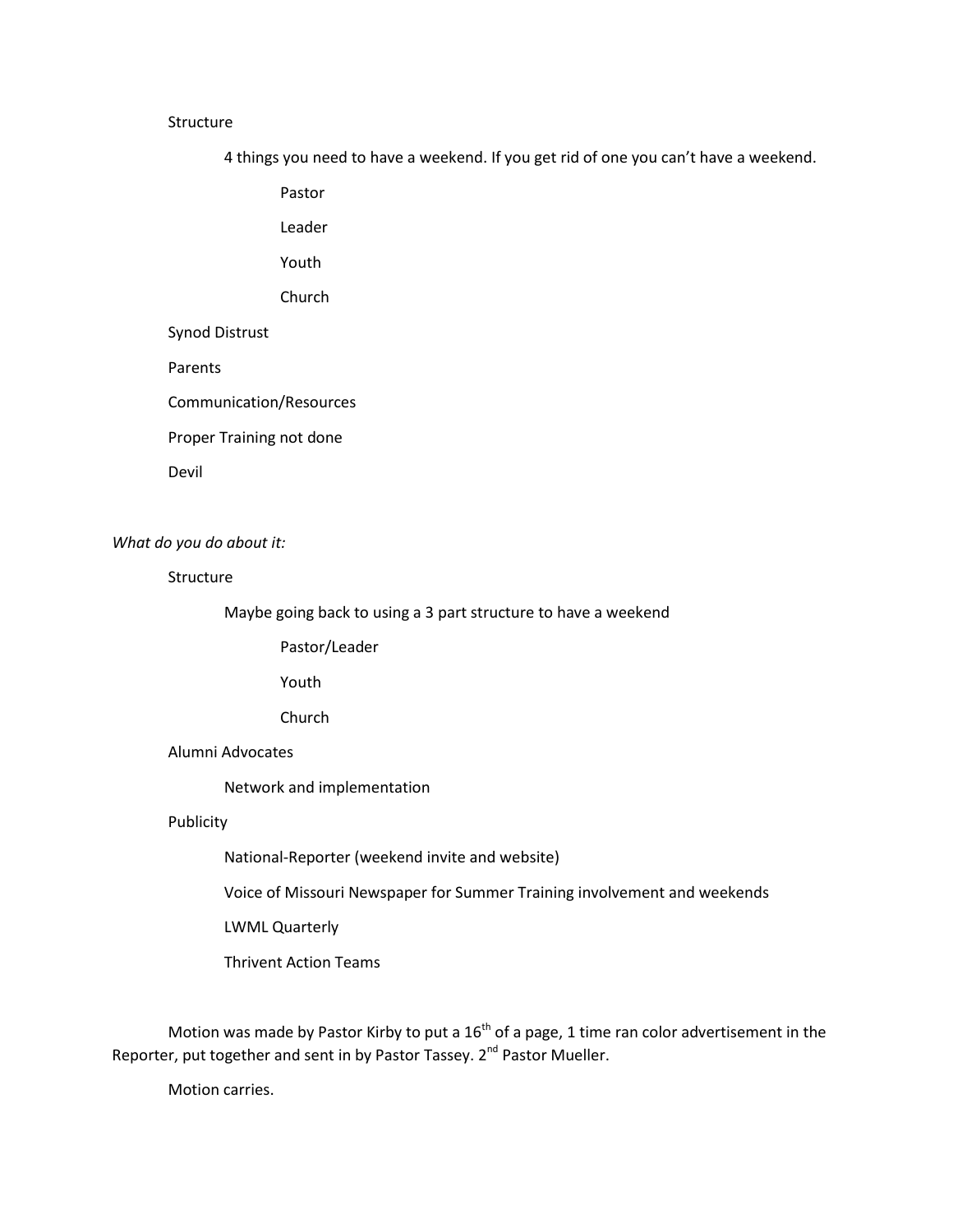#### **Structure**

4 things you need to have a weekend. If you get rid of one you can't have a weekend.

Pastor

Leader

Youth

Church

# Synod Distrust

Parents

Communication/Resources

Proper Training not done

Devil

*What do you do about it:*

#### Structure

Maybe going back to using a 3 part structure to have a weekend

Pastor/Leader

Youth

Church

Alumni Advocates

Network and implementation

## Publicity

National-Reporter (weekend invite and website)

Voice of Missouri Newspaper for Summer Training involvement and weekends

LWML Quarterly

Thrivent Action Teams

Motion was made by Pastor Kirby to put a  $16<sup>th</sup>$  of a page, 1 time ran color advertisement in the Reporter, put together and sent in by Pastor Tassey. 2<sup>nd</sup> Pastor Mueller.

Motion carries.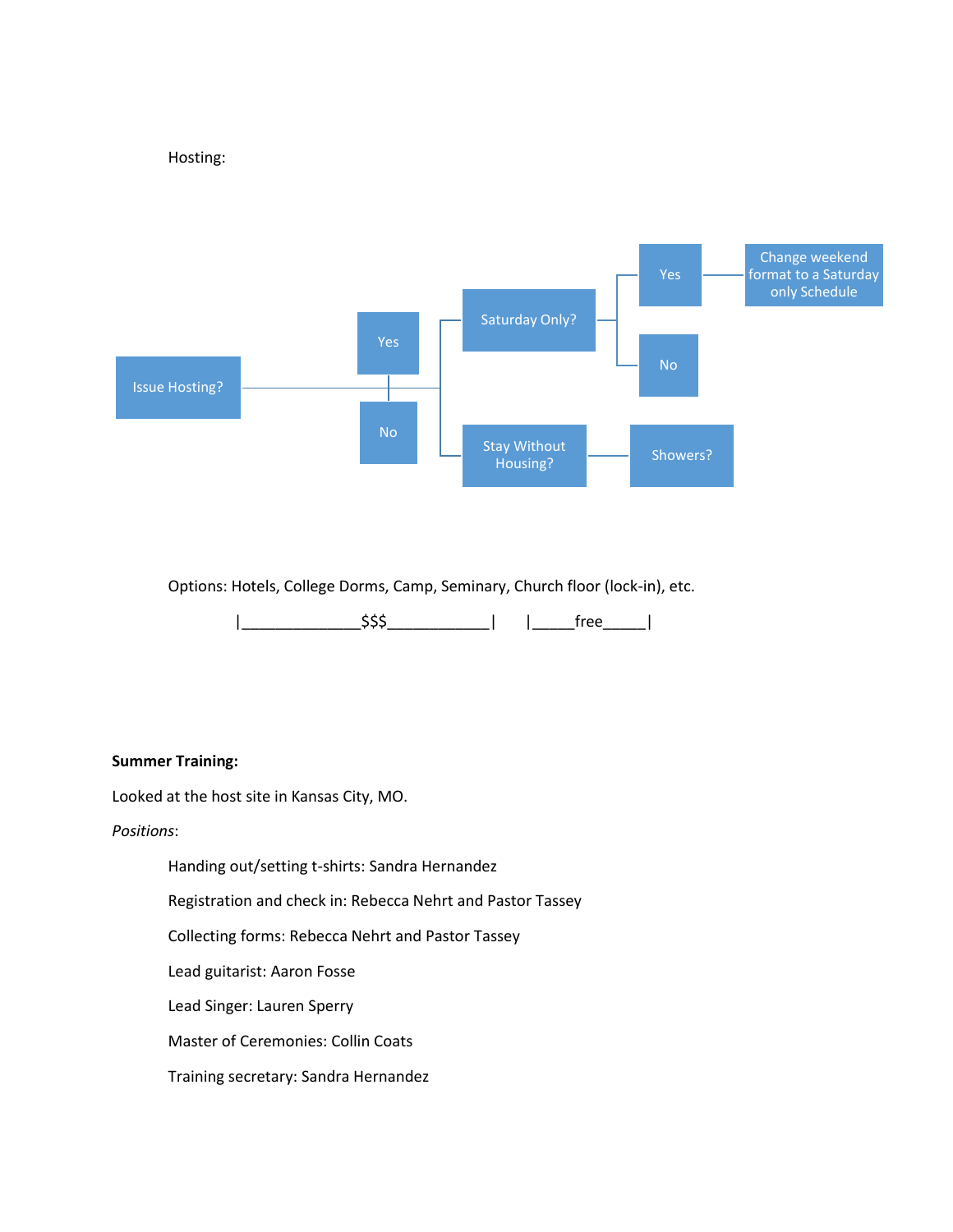Hosting:



Options: Hotels, College Dorms, Camp, Seminary, Church floor (lock-in), etc.

|\_\_\_\_\_\_\_\_\_\_\_\_\_\_\$\$\$\_\_\_\_\_\_\_\_\_\_\_\_| |\_\_\_\_\_free\_\_\_\_\_|

## **Summer Training:**

Looked at the host site in Kansas City, MO.

*Positions*:

Handing out/setting t-shirts: Sandra Hernandez

Registration and check in: Rebecca Nehrt and Pastor Tassey

Collecting forms: Rebecca Nehrt and Pastor Tassey

Lead guitarist: Aaron Fosse

Lead Singer: Lauren Sperry

Master of Ceremonies: Collin Coats

Training secretary: Sandra Hernandez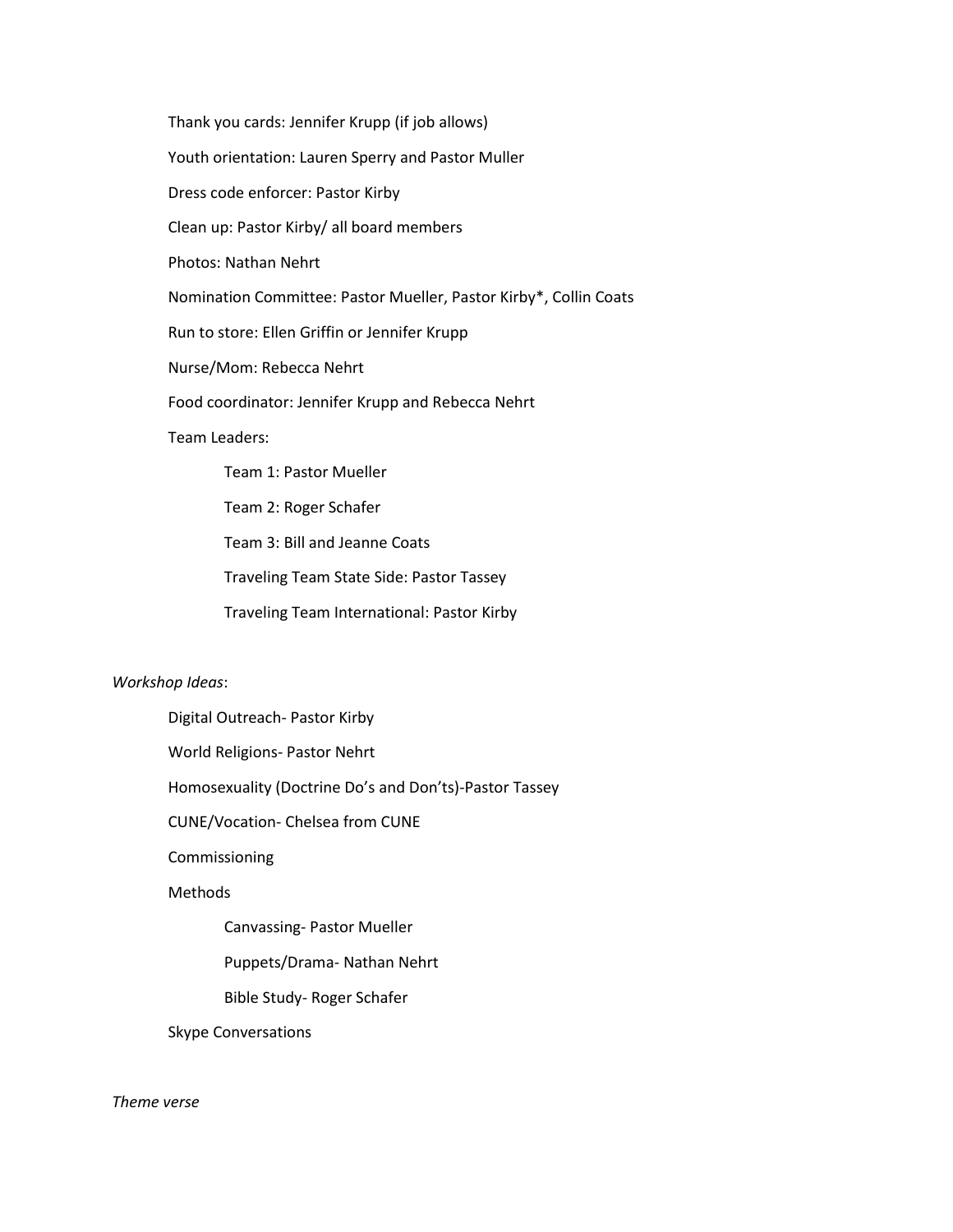Thank you cards: Jennifer Krupp (if job allows) Youth orientation: Lauren Sperry and Pastor Muller Dress code enforcer: Pastor Kirby Clean up: Pastor Kirby/ all board members Photos: Nathan Nehrt Nomination Committee: Pastor Mueller, Pastor Kirby\*, Collin Coats Run to store: Ellen Griffin or Jennifer Krupp Nurse/Mom: Rebecca Nehrt Food coordinator: Jennifer Krupp and Rebecca Nehrt Team Leaders: Team 1: Pastor Mueller Team 2: Roger Schafer Team 3: Bill and Jeanne Coats Traveling Team State Side: Pastor Tassey

Traveling Team International: Pastor Kirby

#### *Workshop Ideas*:

Digital Outreach- Pastor Kirby

World Religions- Pastor Nehrt

Homosexuality (Doctrine Do's and Don'ts)-Pastor Tassey

CUNE/Vocation- Chelsea from CUNE

Commissioning

Methods

Canvassing- Pastor Mueller

Puppets/Drama- Nathan Nehrt

Bible Study- Roger Schafer

Skype Conversations

## *Theme verse*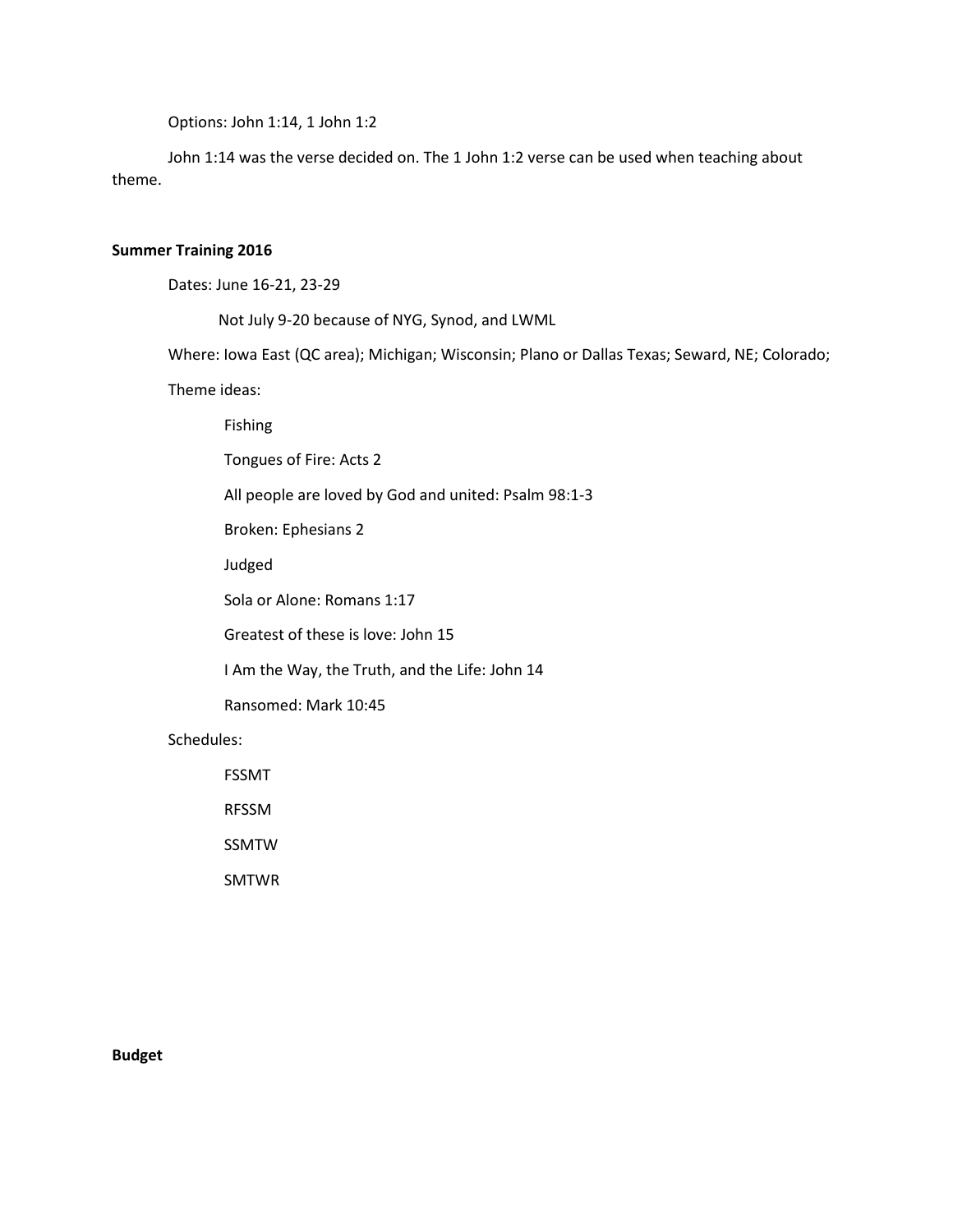Options: John 1:14, 1 John 1:2

John 1:14 was the verse decided on. The 1 John 1:2 verse can be used when teaching about theme.

## **Summer Training 2016**

Dates: June 16-21, 23-29

Not July 9-20 because of NYG, Synod, and LWML

Where: Iowa East (QC area); Michigan; Wisconsin; Plano or Dallas Texas; Seward, NE; Colorado;

Theme ideas:

Fishing

Tongues of Fire: Acts 2

All people are loved by God and united: Psalm 98:1-3

Broken: Ephesians 2

Judged

Sola or Alone: Romans 1:17

Greatest of these is love: John 15

I Am the Way, the Truth, and the Life: John 14

Ransomed: Mark 10:45

Schedules:

FSSMT RFSSM

SSMTW

SMTWR

**Budget**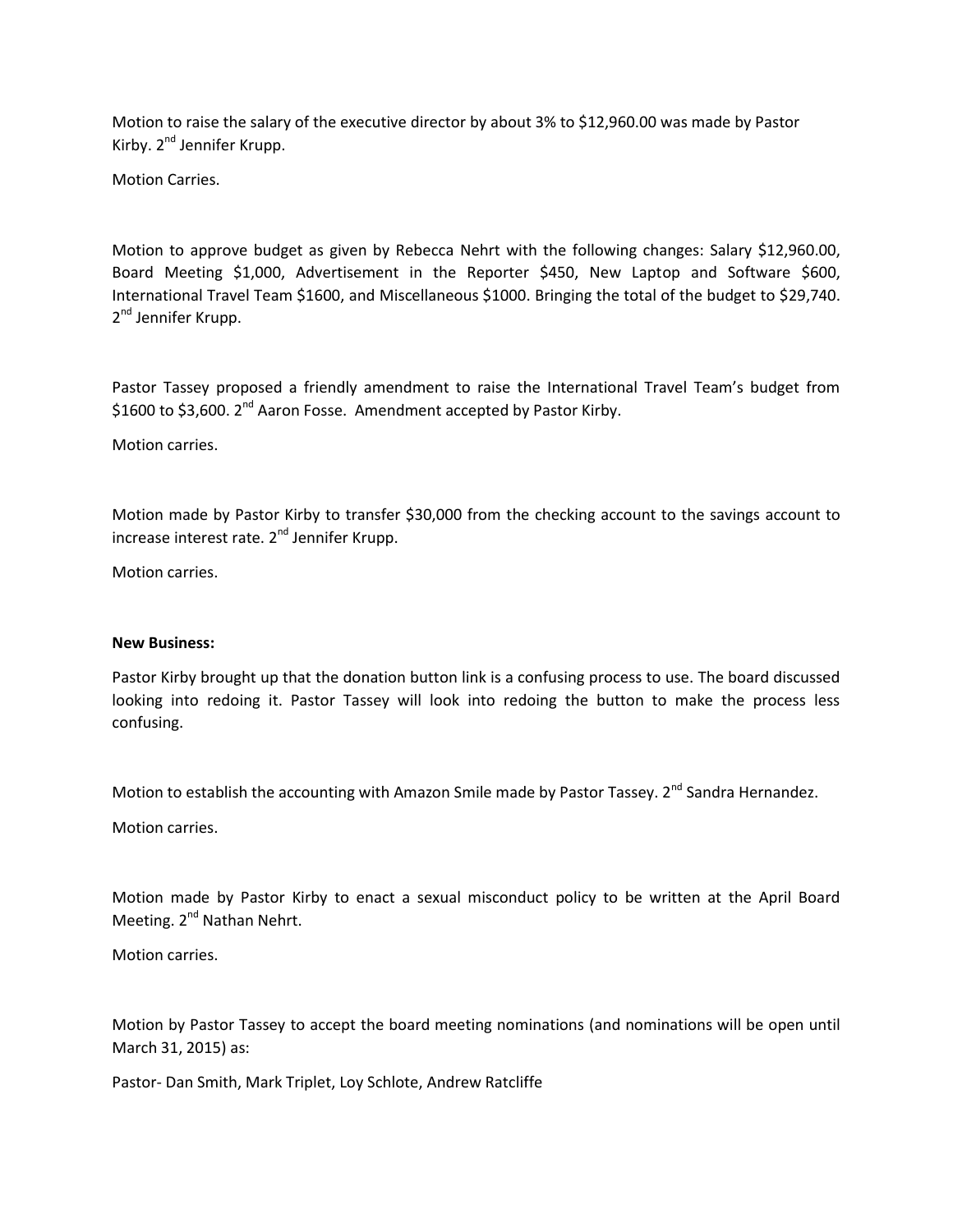Motion to raise the salary of the executive director by about 3% to \$12,960.00 was made by Pastor Kirby. 2<sup>nd</sup> Jennifer Krupp.

Motion Carries.

Motion to approve budget as given by Rebecca Nehrt with the following changes: Salary \$12,960.00, Board Meeting \$1,000, Advertisement in the Reporter \$450, New Laptop and Software \$600, International Travel Team \$1600, and Miscellaneous \$1000. Bringing the total of the budget to \$29,740. 2<sup>nd</sup> Jennifer Krupp.

Pastor Tassey proposed a friendly amendment to raise the International Travel Team's budget from \$1600 to \$3,600. 2<sup>nd</sup> Aaron Fosse. Amendment accepted by Pastor Kirby.

Motion carries.

Motion made by Pastor Kirby to transfer \$30,000 from the checking account to the savings account to increase interest rate. 2<sup>nd</sup> Jennifer Krupp.

Motion carries.

### **New Business:**

Pastor Kirby brought up that the donation button link is a confusing process to use. The board discussed looking into redoing it. Pastor Tassey will look into redoing the button to make the process less confusing.

Motion to establish the accounting with Amazon Smile made by Pastor Tassey. 2<sup>nd</sup> Sandra Hernandez.

Motion carries.

Motion made by Pastor Kirby to enact a sexual misconduct policy to be written at the April Board Meeting. 2<sup>nd</sup> Nathan Nehrt.

Motion carries.

Motion by Pastor Tassey to accept the board meeting nominations (and nominations will be open until March 31, 2015) as:

Pastor- Dan Smith, Mark Triplet, Loy Schlote, Andrew Ratcliffe